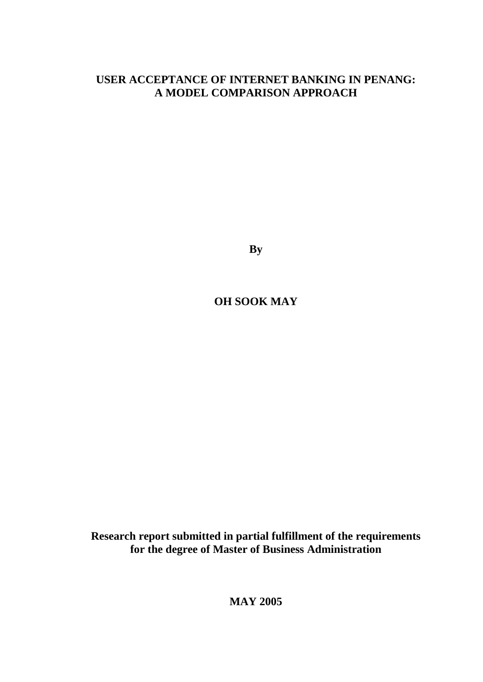# **USER ACCEPTANCE OF INTERNET BANKING IN PENANG: A MODEL COMPARISON APPROACH**

**By**

**OH SOOK MAY** 

**Research report submitted in partial fulfillment of the requirements for the degree of Master of Business Administration** 

**MAY 2005**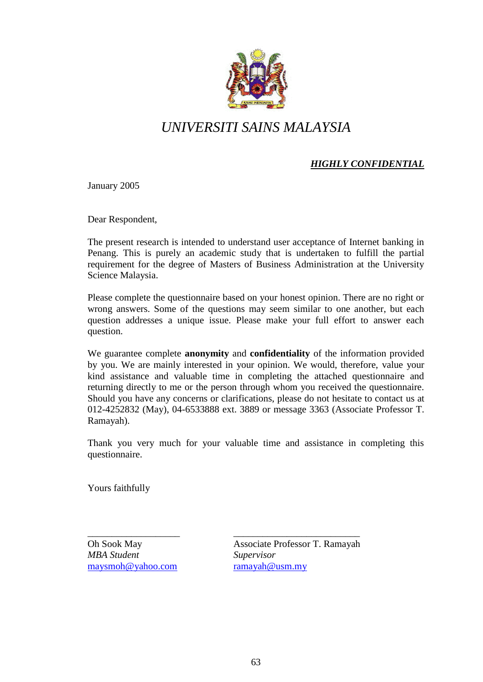

# *UNIVERSITI SAINS MALAYSIA*

# *HIGHLY CONFIDENTIAL*

January 2005

Dear Respondent,

The present research is intended to understand user acceptance of Internet banking in Penang. This is purely an academic study that is undertaken to fulfill the partial requirement for the degree of Masters of Business Administration at the University Science Malaysia.

Please complete the questionnaire based on your honest opinion. There are no right or wrong answers. Some of the questions may seem similar to one another, but each question addresses a unique issue. Please make your full effort to answer each question.

We guarantee complete **anonymity** and **confidentiality** of the information provided by you. We are mainly interested in your opinion. We would, therefore, value your kind assistance and valuable time in completing the attached questionnaire and returning directly to me or the person through whom you received the questionnaire. Should you have any concerns or clarifications, please do not hesitate to contact us at 012-4252832 (May), 04-6533888 ext. 3889 or message 3363 (Associate Professor T. Ramayah).

Thank you very much for your valuable time and assistance in completing this questionnaire.

Yours faithfully

*MBA Student Supervisor*  [maysmoh@yahoo.com](mailto:maysmoh@yahoo.com) [ramayah@usm.my](mailto:ramayah@usm.my)

\_\_\_\_\_\_\_\_\_\_\_\_\_\_\_\_\_\_\_ \_\_\_\_\_\_\_\_\_\_\_\_\_\_\_\_\_\_\_\_\_\_\_\_\_\_ Oh Sook May Associate Professor T. Ramayah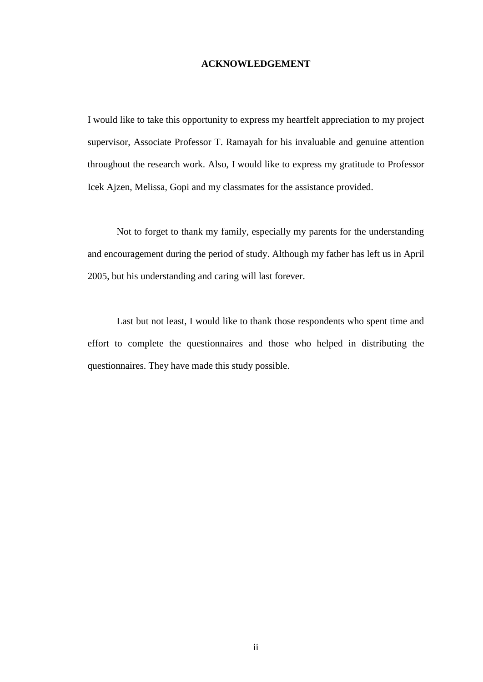#### **ACKNOWLEDGEMENT**

I would like to take this opportunity to express my heartfelt appreciation to my project supervisor, Associate Professor T. Ramayah for his invaluable and genuine attention throughout the research work. Also, I would like to express my gratitude to Professor Icek Ajzen, Melissa, Gopi and my classmates for the assistance provided.

Not to forget to thank my family, especially my parents for the understanding and encouragement during the period of study. Although my father has left us in April 2005, but his understanding and caring will last forever.

Last but not least, I would like to thank those respondents who spent time and effort to complete the questionnaires and those who helped in distributing the questionnaires. They have made this study possible.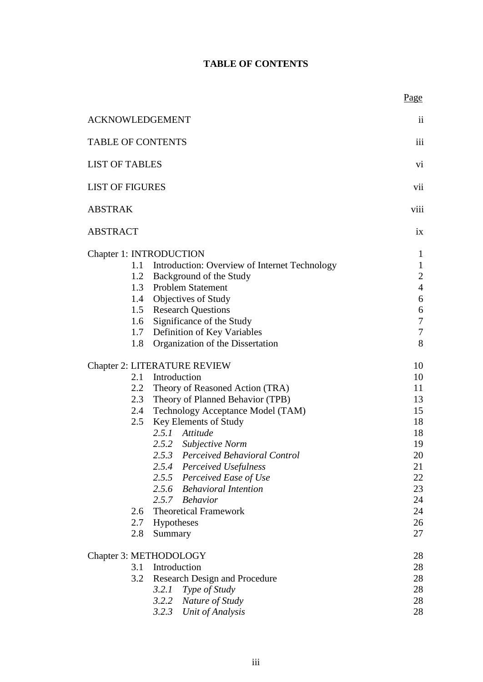# **TABLE OF CONTENTS**

Page

| <b>ACKNOWLEDGEMENT</b>               |                                                                                                                                                                                                                                                                                                                                                                                                                                                                                    | $\ddot{\rm ii}$                                                                                                    |
|--------------------------------------|------------------------------------------------------------------------------------------------------------------------------------------------------------------------------------------------------------------------------------------------------------------------------------------------------------------------------------------------------------------------------------------------------------------------------------------------------------------------------------|--------------------------------------------------------------------------------------------------------------------|
| <b>TABLE OF CONTENTS</b>             |                                                                                                                                                                                                                                                                                                                                                                                                                                                                                    | iii                                                                                                                |
| <b>LIST OF TABLES</b>                |                                                                                                                                                                                                                                                                                                                                                                                                                                                                                    | vi                                                                                                                 |
|                                      | <b>LIST OF FIGURES</b>                                                                                                                                                                                                                                                                                                                                                                                                                                                             |                                                                                                                    |
| <b>ABSTRAK</b>                       |                                                                                                                                                                                                                                                                                                                                                                                                                                                                                    | viii                                                                                                               |
| <b>ABSTRACT</b>                      |                                                                                                                                                                                                                                                                                                                                                                                                                                                                                    | ix                                                                                                                 |
| Chapter 1: INTRODUCTION<br>1.8       | 1.1 Introduction: Overview of Internet Technology<br>1.2 Background of the Study<br>1.3 Problem Statement<br>1.4 Objectives of Study<br>1.5 Research Questions<br>1.6 Significance of the Study<br>1.7 Definition of Key Variables<br>Organization of the Dissertation                                                                                                                                                                                                             | $\mathbf{1}$<br>$\mathbf{1}$<br>$\sqrt{2}$<br>$\overline{4}$<br>6<br>$\sqrt{6}$<br>$\boldsymbol{7}$<br>$\tau$<br>8 |
| 2.4<br>2.5<br>2.6<br>2.7<br>2.8      | <b>Chapter 2: LITERATURE REVIEW</b><br>2.1 Introduction<br>2.2 Theory of Reasoned Action (TRA)<br>2.3 Theory of Planned Behavior (TPB)<br>Technology Acceptance Model (TAM)<br>Key Elements of Study<br>2.5.1 Attitude<br>2.5.2 Subjective Norm<br>2.5.3 Perceived Behavioral Control<br>2.5.4 Perceived Usefulness<br>2.5.5<br>Perceived Ease of Use<br><b>Behavioral Intention</b><br>2.5.6<br><b>Behavior</b><br>2.5.7<br><b>Theoretical Framework</b><br>Hypotheses<br>Summary | 10<br>10<br>11<br>13<br>15<br>18<br>18<br>19<br>20<br>21<br>22<br>23<br>24<br>24<br>26<br>27                       |
| Chapter 3: METHODOLOGY<br>3.1<br>3.2 | Introduction<br><b>Research Design and Procedure</b><br>3.2.1<br>Type of Study<br>3.2.2<br>Nature of Study<br>3.2.3 Unit of Analysis                                                                                                                                                                                                                                                                                                                                               | 28<br>28<br>28<br>28<br>28<br>28                                                                                   |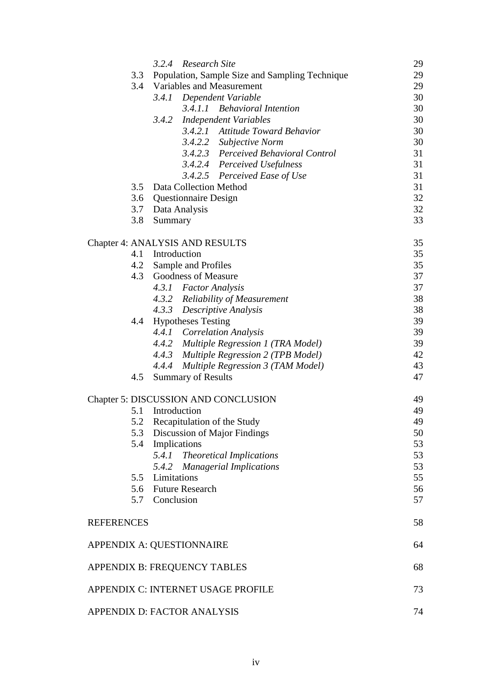|                   | 3.2.4 Research Site                                | 29 |
|-------------------|----------------------------------------------------|----|
|                   | 3.3 Population, Sample Size and Sampling Technique | 29 |
|                   | 3.4 Variables and Measurement                      | 29 |
|                   | 3.4.1 Dependent Variable                           | 30 |
|                   | 3.4.1.1 Behavioral Intention                       | 30 |
|                   | 3.4.2<br><b>Independent Variables</b>              | 30 |
|                   | 3.4.2.1 Attitude Toward Behavior                   | 30 |
|                   | 3.4.2.2 Subjective Norm                            | 30 |
|                   | 3.4.2.3 Perceived Behavioral Control               | 31 |
|                   | 3.4.2.4 Perceived Usefulness                       | 31 |
|                   | 3.4.2.5 Perceived Ease of Use                      | 31 |
|                   | 3.5 Data Collection Method                         | 31 |
| 3.6               | <b>Questionnaire Design</b>                        | 32 |
|                   | 3.7 Data Analysis                                  | 32 |
| 3.8               | Summary                                            | 33 |
|                   |                                                    |    |
|                   | <b>Chapter 4: ANALYSIS AND RESULTS</b>             | 35 |
|                   | 4.1 Introduction                                   | 35 |
| 4.2               | Sample and Profiles                                | 35 |
| 4.3               | Goodness of Measure                                | 37 |
|                   | 4.3.1 Factor Analysis                              | 37 |
|                   | 4.3.2 Reliability of Measurement                   | 38 |
|                   | 4.3.3 Descriptive Analysis                         | 38 |
| 4.4               | <b>Hypotheses Testing</b>                          | 39 |
|                   | 4.4.1 Correlation Analysis                         | 39 |
|                   | 4.4.2 Multiple Regression 1 (TRA Model)            | 39 |
|                   | 4.4.3 Multiple Regression 2 (TPB Model)            | 42 |
|                   | 4.4.4 Multiple Regression 3 (TAM Model)            | 43 |
| 4.5               | <b>Summary of Results</b>                          | 47 |
|                   | Chapter 5: DISCUSSION AND CONCLUSION               | 49 |
|                   | 5.1 Introduction                                   | 49 |
|                   | 5.2 Recapitulation of the Study                    | 49 |
|                   | 5.3 Discussion of Major Findings                   | 50 |
|                   | 5.4 Implications                                   | 53 |
|                   |                                                    |    |
|                   | 5.4.1 Theoretical Implications                     | 53 |
|                   | 5.4.2 Managerial Implications                      | 53 |
|                   | 5.5 Limitations                                    | 55 |
|                   | 5.6 Future Research                                | 56 |
|                   | 5.7 Conclusion                                     | 57 |
| <b>REFERENCES</b> |                                                    | 58 |
|                   | APPENDIX A: QUESTIONNAIRE                          | 64 |
|                   | APPENDIX B: FREQUENCY TABLES                       | 68 |
|                   | APPENDIX C: INTERNET USAGE PROFILE                 | 73 |
|                   | APPENDIX D: FACTOR ANALYSIS                        | 74 |
|                   |                                                    |    |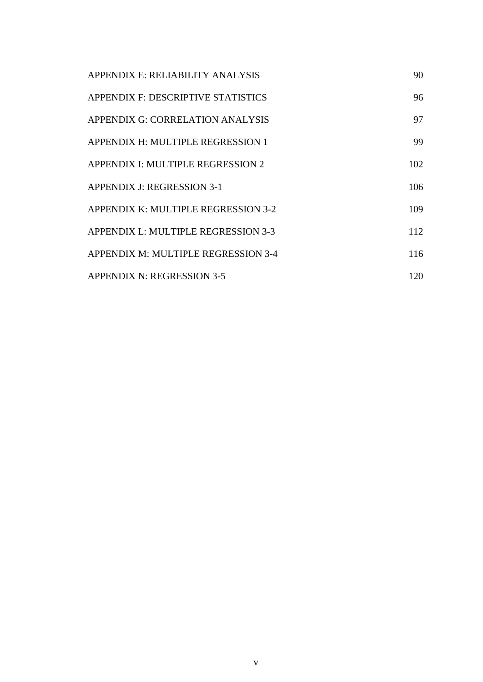| APPENDIX E: RELIABILITY ANALYSIS    | 90  |
|-------------------------------------|-----|
| APPENDIX F: DESCRIPTIVE STATISTICS  | 96  |
| APPENDIX G: CORRELATION ANALYSIS    | 97  |
| APPENDIX H: MULTIPLE REGRESSION 1   | 99  |
| APPENDIX I: MULTIPLE REGRESSION 2   | 102 |
| APPENDIX J: REGRESSION 3-1          | 106 |
| APPENDIX K: MULTIPLE REGRESSION 3-2 | 109 |
| APPENDIX L: MULTIPLE REGRESSION 3-3 | 112 |
| APPENDIX M: MULTIPLE REGRESSION 3-4 | 116 |
| <b>APPENDIX N: REGRESSION 3-5</b>   | 120 |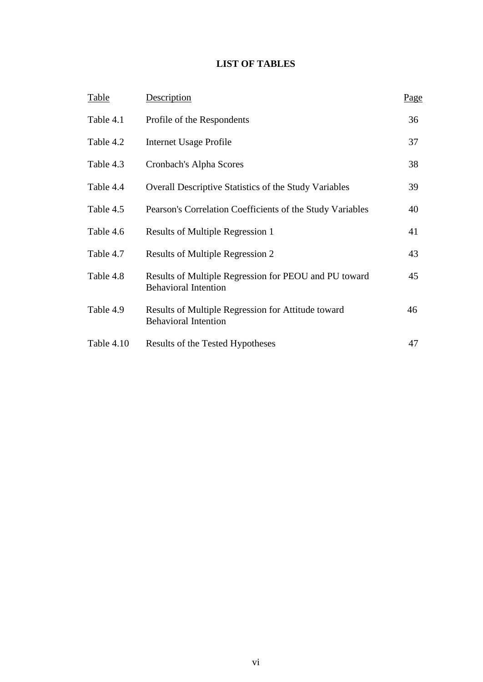# **LIST OF TABLES**

| Table      | Description                                                                          | <u>Page</u> |
|------------|--------------------------------------------------------------------------------------|-------------|
| Table 4.1  | Profile of the Respondents                                                           | 36          |
| Table 4.2  | Internet Usage Profile                                                               | 37          |
| Table 4.3  | Cronbach's Alpha Scores                                                              | 38          |
| Table 4.4  | <b>Overall Descriptive Statistics of the Study Variables</b>                         | 39          |
| Table 4.5  | Pearson's Correlation Coefficients of the Study Variables                            | 40          |
| Table 4.6  | Results of Multiple Regression 1                                                     | 41          |
| Table 4.7  | Results of Multiple Regression 2                                                     | 43          |
| Table 4.8  | Results of Multiple Regression for PEOU and PU toward<br><b>Behavioral Intention</b> | 45          |
| Table 4.9  | Results of Multiple Regression for Attitude toward<br><b>Behavioral Intention</b>    | 46          |
| Table 4.10 | Results of the Tested Hypotheses                                                     | 47          |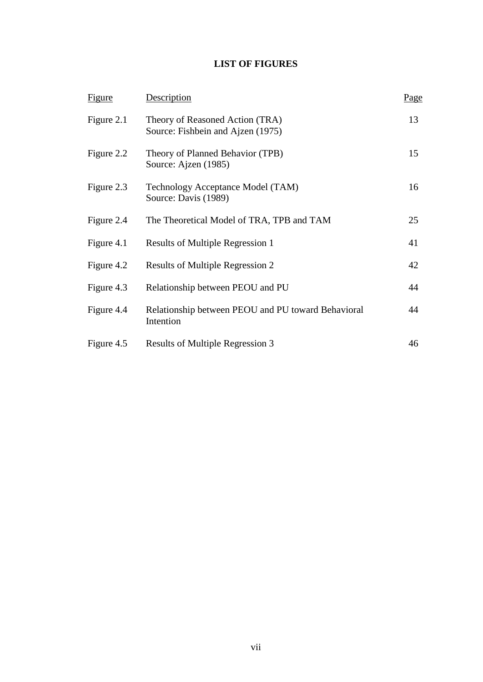# **LIST OF FIGURES**

| Figure     | Description                                                          | Page |
|------------|----------------------------------------------------------------------|------|
| Figure 2.1 | Theory of Reasoned Action (TRA)<br>Source: Fishbein and Ajzen (1975) | 13   |
| Figure 2.2 | Theory of Planned Behavior (TPB)<br>Source: Ajzen (1985)             | 15   |
| Figure 2.3 | Technology Acceptance Model (TAM)<br>Source: Davis (1989)            | 16   |
| Figure 2.4 | The Theoretical Model of TRA, TPB and TAM                            | 25   |
| Figure 4.1 | Results of Multiple Regression 1                                     | 41   |
| Figure 4.2 | Results of Multiple Regression 2                                     | 42   |
| Figure 4.3 | Relationship between PEOU and PU                                     | 44   |
| Figure 4.4 | Relationship between PEOU and PU toward Behavioral<br>Intention      | 44   |
| Figure 4.5 | Results of Multiple Regression 3                                     | 46   |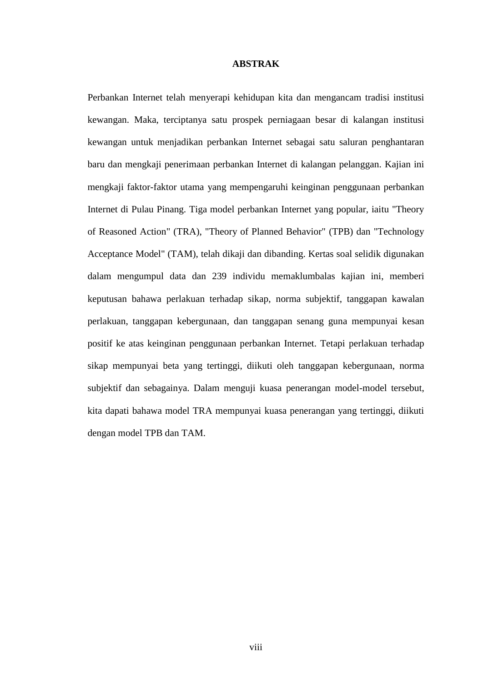#### **ABSTRAK**

Perbankan Internet telah menyerapi kehidupan kita dan mengancam tradisi institusi kewangan. Maka, terciptanya satu prospek perniagaan besar di kalangan institusi kewangan untuk menjadikan perbankan Internet sebagai satu saluran penghantaran baru dan mengkaji penerimaan perbankan Internet di kalangan pelanggan. Kajian ini mengkaji faktor-faktor utama yang mempengaruhi keinginan penggunaan perbankan Internet di Pulau Pinang. Tiga model perbankan Internet yang popular, iaitu "Theory of Reasoned Action" (TRA), "Theory of Planned Behavior" (TPB) dan "Technology Acceptance Model" (TAM), telah dikaji dan dibanding. Kertas soal selidik digunakan dalam mengumpul data dan 239 individu memaklumbalas kajian ini, memberi keputusan bahawa perlakuan terhadap sikap, norma subjektif, tanggapan kawalan perlakuan, tanggapan kebergunaan, dan tanggapan senang guna mempunyai kesan positif ke atas keinginan penggunaan perbankan Internet. Tetapi perlakuan terhadap sikap mempunyai beta yang tertinggi, diikuti oleh tanggapan kebergunaan, norma subjektif dan sebagainya. Dalam menguji kuasa penerangan model-model tersebut, kita dapati bahawa model TRA mempunyai kuasa penerangan yang tertinggi, diikuti dengan model TPB dan TAM.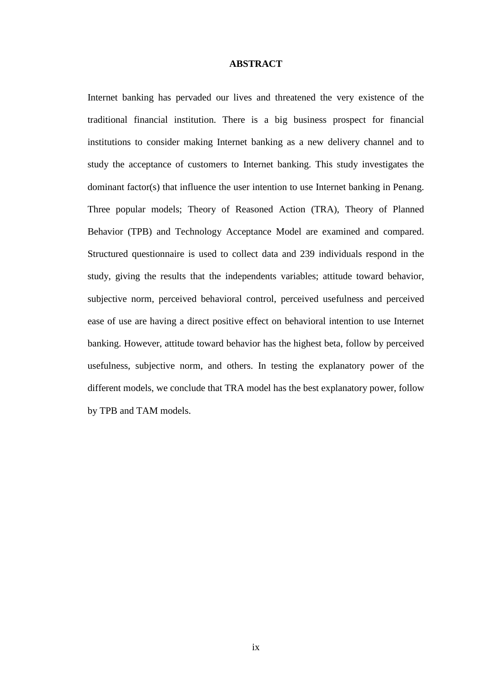#### **ABSTRACT**

Internet banking has pervaded our lives and threatened the very existence of the traditional financial institution. There is a big business prospect for financial institutions to consider making Internet banking as a new delivery channel and to study the acceptance of customers to Internet banking. This study investigates the dominant factor(s) that influence the user intention to use Internet banking in Penang. Three popular models; Theory of Reasoned Action (TRA), Theory of Planned Behavior (TPB) and Technology Acceptance Model are examined and compared. Structured questionnaire is used to collect data and 239 individuals respond in the study, giving the results that the independents variables; attitude toward behavior, subjective norm, perceived behavioral control, perceived usefulness and perceived ease of use are having a direct positive effect on behavioral intention to use Internet banking. However, attitude toward behavior has the highest beta, follow by perceived usefulness, subjective norm, and others. In testing the explanatory power of the different models, we conclude that TRA model has the best explanatory power, follow by TPB and TAM models.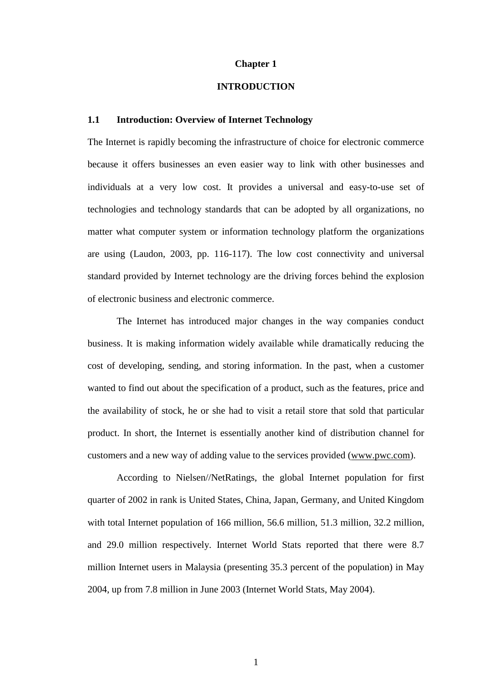#### **Chapter 1**

#### **INTRODUCTION**

# **1.1 Introduction: Overview of Internet Technology**

The Internet is rapidly becoming the infrastructure of choice for electronic commerce because it offers businesses an even easier way to link with other businesses and individuals at a very low cost. It provides a universal and easy-to-use set of technologies and technology standards that can be adopted by all organizations, no matter what computer system or information technology platform the organizations are using (Laudon, 2003, pp. 116-117). The low cost connectivity and universal standard provided by Internet technology are the driving forces behind the explosion of electronic business and electronic commerce.

The Internet has introduced major changes in the way companies conduct business. It is making information widely available while dramatically reducing the cost of developing, sending, and storing information. In the past, when a customer wanted to find out about the specification of a product, such as the features, price and the availability of stock, he or she had to visit a retail store that sold that particular product. In short, the Internet is essentially another kind of distribution channel for customers and a new way of adding value to the services provided [\(www.pwc.com\)](http://www.pwc.com/).

According to Nielsen//NetRatings, the global Internet population for first quarter of 2002 in rank is United States, China, Japan, Germany, and United Kingdom with total Internet population of 166 million, 56.6 million, 51.3 million, 32.2 million, and 29.0 million respectively. Internet World Stats reported that there were 8.7 million Internet users in Malaysia (presenting 35.3 percent of the population) in May 2004, up from 7.8 million in June 2003 (Internet World Stats, May 2004).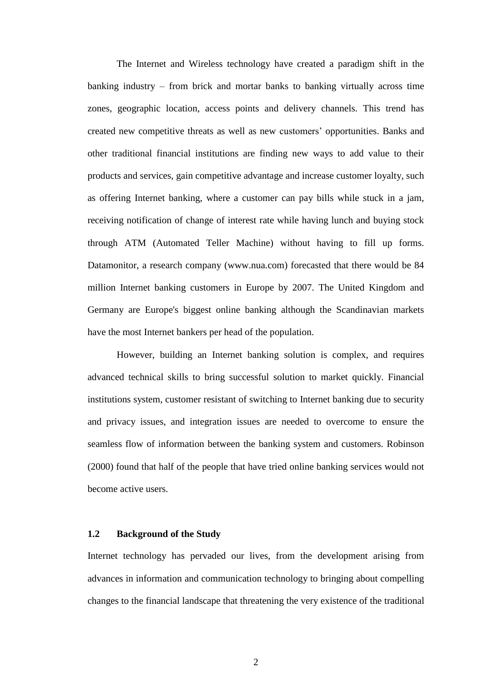The Internet and Wireless technology have created a paradigm shift in the banking industry – from brick and mortar banks to banking virtually across time zones, geographic location, access points and delivery channels. This trend has created new competitive threats as well as new customers' opportunities. Banks and other traditional financial institutions are finding new ways to add value to their products and services, gain competitive advantage and increase customer loyalty, such as offering Internet banking, where a customer can pay bills while stuck in a jam, receiving notification of change of interest rate while having lunch and buying stock through ATM (Automated Teller Machine) without having to fill up forms. Datamonitor, a research company (www.nua.com) forecasted that there would be 84 million Internet banking customers in Europe by 2007. The United Kingdom and Germany are Europe's biggest online banking although the Scandinavian markets have the most Internet bankers per head of the population.

However, building an Internet banking solution is complex, and requires advanced technical skills to bring successful solution to market quickly. Financial institutions system, customer resistant of switching to Internet banking due to security and privacy issues, and integration issues are needed to overcome to ensure the seamless flow of information between the banking system and customers. Robinson (2000) found that half of the people that have tried online banking services would not become active users.

#### **1.2 Background of the Study**

Internet technology has pervaded our lives, from the development arising from advances in information and communication technology to bringing about compelling changes to the financial landscape that threatening the very existence of the traditional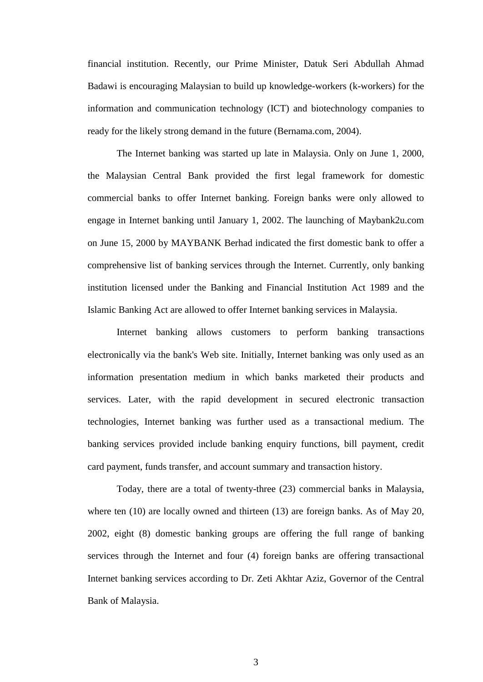financial institution. Recently, our Prime Minister, Datuk Seri Abdullah Ahmad Badawi is encouraging Malaysian to build up knowledge-workers (k-workers) for the information and communication technology (ICT) and biotechnology companies to ready for the likely strong demand in the future (Bernama.com, 2004).

The Internet banking was started up late in Malaysia. Only on June 1, 2000, the Malaysian Central Bank provided the first legal framework for domestic commercial banks to offer Internet banking. Foreign banks were only allowed to engage in Internet banking until January 1, 2002. The launching of Maybank2u.com on June 15, 2000 by MAYBANK Berhad indicated the first domestic bank to offer a comprehensive list of banking services through the Internet. Currently, only banking institution licensed under the Banking and Financial Institution Act 1989 and the Islamic Banking Act are allowed to offer Internet banking services in Malaysia.

Internet banking allows customers to perform banking transactions electronically via the bank's Web site. Initially, Internet banking was only used as an information presentation medium in which banks marketed their products and services. Later, with the rapid development in secured electronic transaction technologies, Internet banking was further used as a transactional medium. The banking services provided include banking enquiry functions, bill payment, credit card payment, funds transfer, and account summary and transaction history.

Today, there are a total of twenty-three (23) commercial banks in Malaysia, where ten (10) are locally owned and thirteen (13) are foreign banks. As of May 20, 2002, eight (8) domestic banking groups are offering the full range of banking services through the Internet and four (4) foreign banks are offering transactional Internet banking services according to Dr. Zeti Akhtar Aziz, Governor of the Central Bank of Malaysia.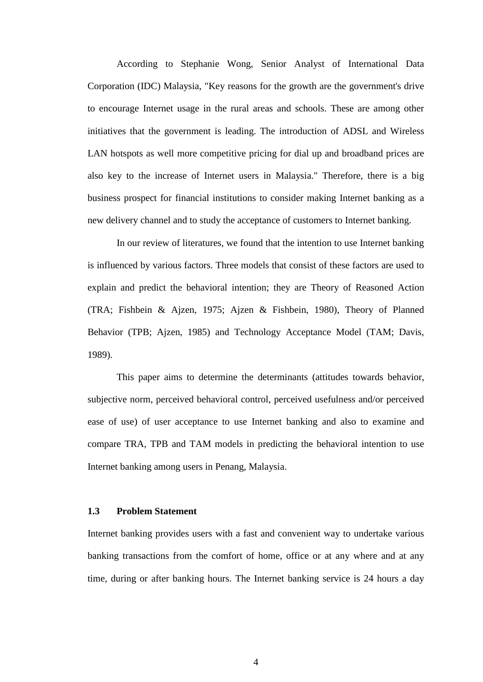According to Stephanie Wong, Senior Analyst of International Data Corporation (IDC) Malaysia, "Key reasons for the growth are the government's drive to encourage Internet usage in the rural areas and schools. These are among other initiatives that the government is leading. The introduction of ADSL and Wireless LAN hotspots as well more competitive pricing for dial up and broadband prices are also key to the increase of Internet users in Malaysia." Therefore, there is a big business prospect for financial institutions to consider making Internet banking as a new delivery channel and to study the acceptance of customers to Internet banking.

 In our review of literatures, we found that the intention to use Internet banking is influenced by various factors. Three models that consist of these factors are used to explain and predict the behavioral intention; they are Theory of Reasoned Action (TRA; Fishbein & Ajzen, 1975; Ajzen & Fishbein, 1980), Theory of Planned Behavior (TPB; Ajzen, 1985) and Technology Acceptance Model (TAM; Davis, 1989).

This paper aims to determine the determinants (attitudes towards behavior, subjective norm, perceived behavioral control, perceived usefulness and/or perceived ease of use) of user acceptance to use Internet banking and also to examine and compare TRA, TPB and TAM models in predicting the behavioral intention to use Internet banking among users in Penang, Malaysia.

## **1.3 Problem Statement**

Internet banking provides users with a fast and convenient way to undertake various banking transactions from the comfort of home, office or at any where and at any time, during or after banking hours. The Internet banking service is 24 hours a day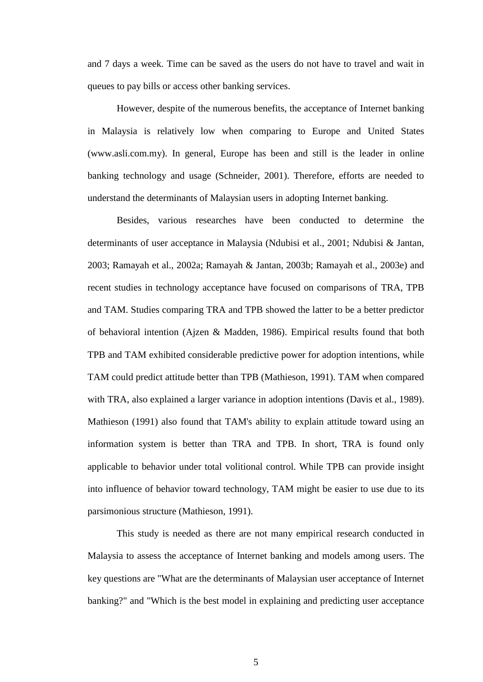and 7 days a week. Time can be saved as the users do not have to travel and wait in queues to pay bills or access other banking services.

However, despite of the numerous benefits, the acceptance of Internet banking in Malaysia is relatively low when comparing to Europe and United States (www.asli.com.my). In general, Europe has been and still is the leader in online banking technology and usage (Schneider, 2001). Therefore, efforts are needed to understand the determinants of Malaysian users in adopting Internet banking.

Besides, various researches have been conducted to determine the determinants of user acceptance in Malaysia (Ndubisi et al., 2001; Ndubisi & Jantan, 2003; Ramayah et al., 2002a; Ramayah & Jantan, 2003b; Ramayah et al., 2003e) and recent studies in technology acceptance have focused on comparisons of TRA, TPB and TAM. Studies comparing TRA and TPB showed the latter to be a better predictor of behavioral intention (Ajzen & Madden, 1986). Empirical results found that both TPB and TAM exhibited considerable predictive power for adoption intentions, while TAM could predict attitude better than TPB (Mathieson, 1991). TAM when compared with TRA, also explained a larger variance in adoption intentions (Davis et al., 1989). Mathieson (1991) also found that TAM's ability to explain attitude toward using an information system is better than TRA and TPB. In short, TRA is found only applicable to behavior under total volitional control. While TPB can provide insight into influence of behavior toward technology, TAM might be easier to use due to its parsimonious structure (Mathieson, 1991).

This study is needed as there are not many empirical research conducted in Malaysia to assess the acceptance of Internet banking and models among users. The key questions are "What are the determinants of Malaysian user acceptance of Internet banking?" and "Which is the best model in explaining and predicting user acceptance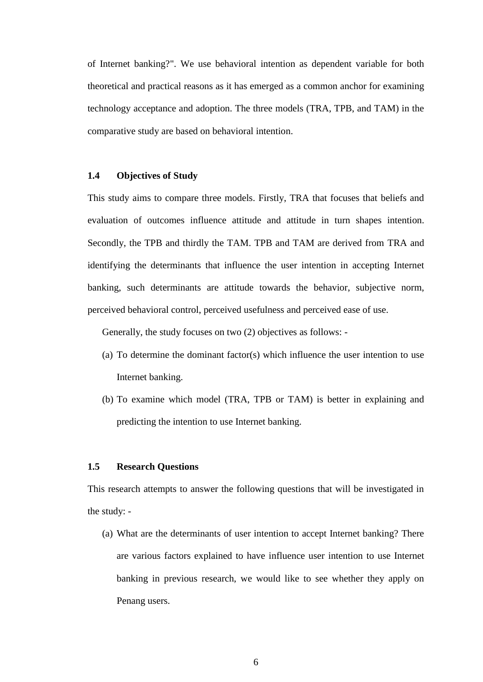of Internet banking?". We use behavioral intention as dependent variable for both theoretical and practical reasons as it has emerged as a common anchor for examining technology acceptance and adoption. The three models (TRA, TPB, and TAM) in the comparative study are based on behavioral intention.

# **1.4 Objectives of Study**

This study aims to compare three models. Firstly, TRA that focuses that beliefs and evaluation of outcomes influence attitude and attitude in turn shapes intention. Secondly, the TPB and thirdly the TAM. TPB and TAM are derived from TRA and identifying the determinants that influence the user intention in accepting Internet banking, such determinants are attitude towards the behavior, subjective norm, perceived behavioral control, perceived usefulness and perceived ease of use.

Generally, the study focuses on two (2) objectives as follows: -

- (a) To determine the dominant factor(s) which influence the user intention to use Internet banking.
- (b) To examine which model (TRA, TPB or TAM) is better in explaining and predicting the intention to use Internet banking.

# **1.5 Research Questions**

This research attempts to answer the following questions that will be investigated in the study: -

(a) What are the determinants of user intention to accept Internet banking? There are various factors explained to have influence user intention to use Internet banking in previous research, we would like to see whether they apply on Penang users.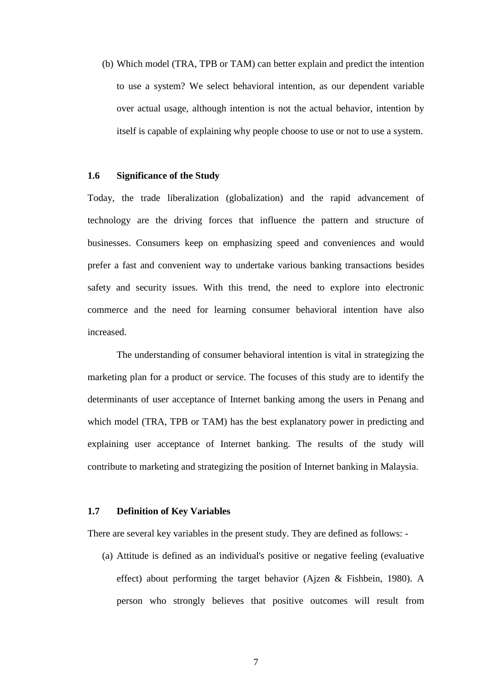(b) Which model (TRA, TPB or TAM) can better explain and predict the intention to use a system? We select behavioral intention, as our dependent variable over actual usage, although intention is not the actual behavior, intention by itself is capable of explaining why people choose to use or not to use a system.

# **1.6 Significance of the Study**

Today, the trade liberalization (globalization) and the rapid advancement of technology are the driving forces that influence the pattern and structure of businesses. Consumers keep on emphasizing speed and conveniences and would prefer a fast and convenient way to undertake various banking transactions besides safety and security issues. With this trend, the need to explore into electronic commerce and the need for learning consumer behavioral intention have also increased.

The understanding of consumer behavioral intention is vital in strategizing the marketing plan for a product or service. The focuses of this study are to identify the determinants of user acceptance of Internet banking among the users in Penang and which model (TRA, TPB or TAM) has the best explanatory power in predicting and explaining user acceptance of Internet banking. The results of the study will contribute to marketing and strategizing the position of Internet banking in Malaysia.

#### **1.7 Definition of Key Variables**

There are several key variables in the present study. They are defined as follows: -

(a) Attitude is defined as an individual's positive or negative feeling (evaluative effect) about performing the target behavior (Ajzen & Fishbein, 1980). A person who strongly believes that positive outcomes will result from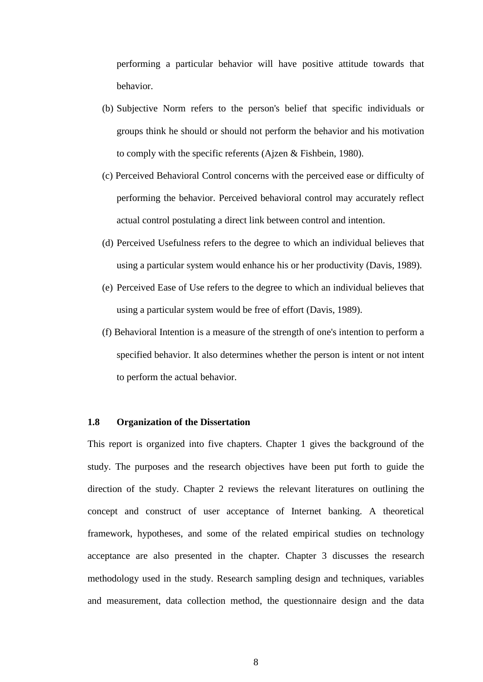performing a particular behavior will have positive attitude towards that behavior.

- (b) Subjective Norm refers to the person's belief that specific individuals or groups think he should or should not perform the behavior and his motivation to comply with the specific referents (Ajzen & Fishbein, 1980).
- (c) Perceived Behavioral Control concerns with the perceived ease or difficulty of performing the behavior. Perceived behavioral control may accurately reflect actual control postulating a direct link between control and intention.
- (d) Perceived Usefulness refers to the degree to which an individual believes that using a particular system would enhance his or her productivity (Davis, 1989).
- (e) Perceived Ease of Use refers to the degree to which an individual believes that using a particular system would be free of effort (Davis, 1989).
- (f) Behavioral Intention is a measure of the strength of one's intention to perform a specified behavior. It also determines whether the person is intent or not intent to perform the actual behavior.

# **1.8 Organization of the Dissertation**

This report is organized into five chapters. Chapter 1 gives the background of the study. The purposes and the research objectives have been put forth to guide the direction of the study. Chapter 2 reviews the relevant literatures on outlining the concept and construct of user acceptance of Internet banking. A theoretical framework, hypotheses, and some of the related empirical studies on technology acceptance are also presented in the chapter. Chapter 3 discusses the research methodology used in the study. Research sampling design and techniques, variables and measurement, data collection method, the questionnaire design and the data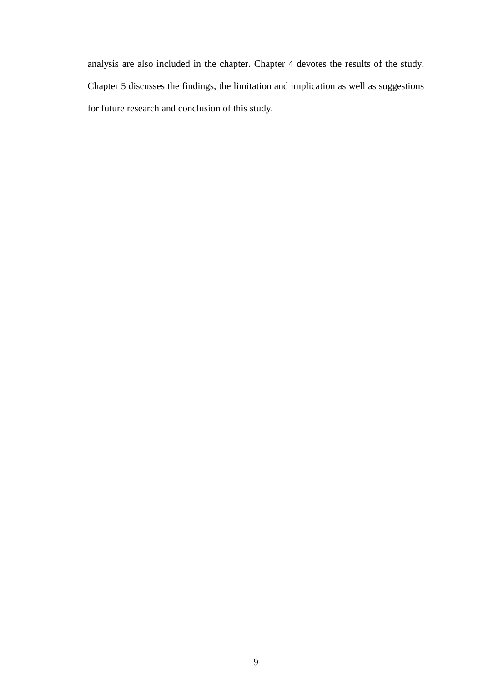analysis are also included in the chapter. Chapter 4 devotes the results of the study. Chapter 5 discusses the findings, the limitation and implication as well as suggestions for future research and conclusion of this study.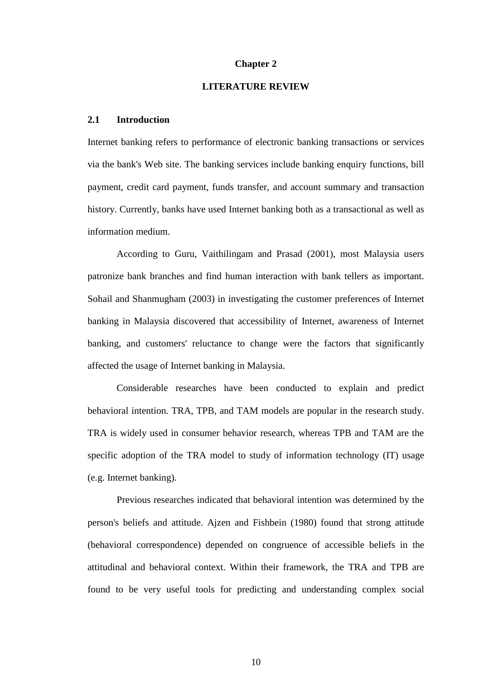#### **Chapter 2**

## **LITERATURE REVIEW**

## **2.1 Introduction**

Internet banking refers to performance of electronic banking transactions or services via the bank's Web site. The banking services include banking enquiry functions, bill payment, credit card payment, funds transfer, and account summary and transaction history. Currently, banks have used Internet banking both as a transactional as well as information medium.

According to Guru, Vaithilingam and Prasad (2001), most Malaysia users patronize bank branches and find human interaction with bank tellers as important. Sohail and Shanmugham (2003) in investigating the customer preferences of Internet banking in Malaysia discovered that accessibility of Internet, awareness of Internet banking, and customers' reluctance to change were the factors that significantly affected the usage of Internet banking in Malaysia.

Considerable researches have been conducted to explain and predict behavioral intention. TRA, TPB, and TAM models are popular in the research study. TRA is widely used in consumer behavior research, whereas TPB and TAM are the specific adoption of the TRA model to study of information technology (IT) usage (e.g. Internet banking).

Previous researches indicated that behavioral intention was determined by the person's beliefs and attitude. Ajzen and Fishbein (1980) found that strong attitude (behavioral correspondence) depended on congruence of accessible beliefs in the attitudinal and behavioral context. Within their framework, the TRA and TPB are found to be very useful tools for predicting and understanding complex social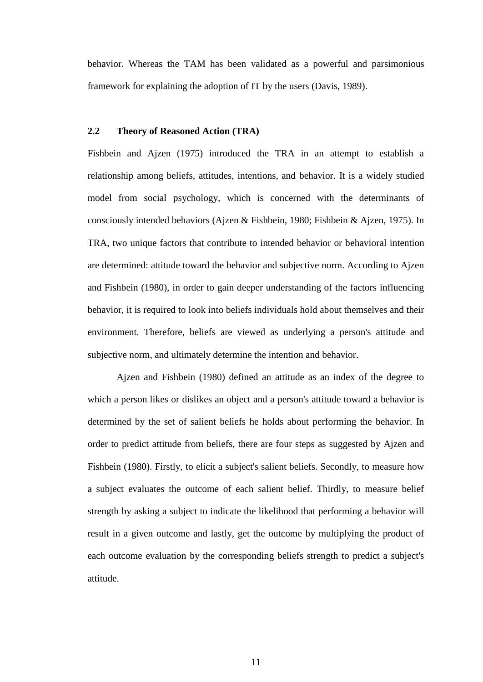behavior. Whereas the TAM has been validated as a powerful and parsimonious framework for explaining the adoption of IT by the users (Davis, 1989).

# **2.2 Theory of Reasoned Action (TRA)**

Fishbein and Ajzen (1975) introduced the TRA in an attempt to establish a relationship among beliefs, attitudes, intentions, and behavior. It is a widely studied model from social psychology, which is concerned with the determinants of consciously intended behaviors (Ajzen & Fishbein, 1980; Fishbein & Ajzen, 1975). In TRA, two unique factors that contribute to intended behavior or behavioral intention are determined: attitude toward the behavior and subjective norm. According to Ajzen and Fishbein (1980), in order to gain deeper understanding of the factors influencing behavior, it is required to look into beliefs individuals hold about themselves and their environment. Therefore, beliefs are viewed as underlying a person's attitude and subjective norm, and ultimately determine the intention and behavior.

Ajzen and Fishbein (1980) defined an attitude as an index of the degree to which a person likes or dislikes an object and a person's attitude toward a behavior is determined by the set of salient beliefs he holds about performing the behavior. In order to predict attitude from beliefs, there are four steps as suggested by Ajzen and Fishbein (1980). Firstly, to elicit a subject's salient beliefs. Secondly, to measure how a subject evaluates the outcome of each salient belief. Thirdly, to measure belief strength by asking a subject to indicate the likelihood that performing a behavior will result in a given outcome and lastly, get the outcome by multiplying the product of each outcome evaluation by the corresponding beliefs strength to predict a subject's attitude.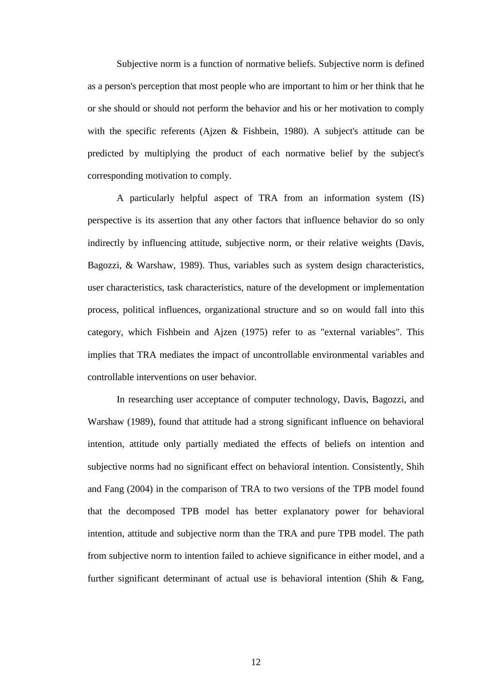Subjective norm is a function of normative beliefs. Subjective norm is defined as a person's perception that most people who are important to him or her think that he or she should or should not perform the behavior and his or her motivation to comply with the specific referents (Ajzen & Fishbein, 1980). A subject's attitude can be predicted by multiplying the product of each normative belief by the subject's corresponding motivation to comply.

A particularly helpful aspect of TRA from an information system (IS) perspective is its assertion that any other factors that influence behavior do so only indirectly by influencing attitude, subjective norm, or their relative weights (Davis, Bagozzi, & Warshaw, 1989). Thus, variables such as system design characteristics, user characteristics, task characteristics, nature of the development or implementation process, political influences, organizational structure and so on would fall into this category, which Fishbein and Ajzen (1975) refer to as "external variables". This implies that TRA mediates the impact of uncontrollable environmental variables and controllable interventions on user behavior.

In researching user acceptance of computer technology, Davis, Bagozzi, and Warshaw (1989), found that attitude had a strong significant influence on behavioral intention, attitude only partially mediated the effects of beliefs on intention and subjective norms had no significant effect on behavioral intention. Consistently, Shih and Fang (2004) in the comparison of TRA to two versions of the TPB model found that the decomposed TPB model has better explanatory power for behavioral intention, attitude and subjective norm than the TRA and pure TPB model. The path from subjective norm to intention failed to achieve significance in either model, and a further significant determinant of actual use is behavioral intention (Shih & Fang,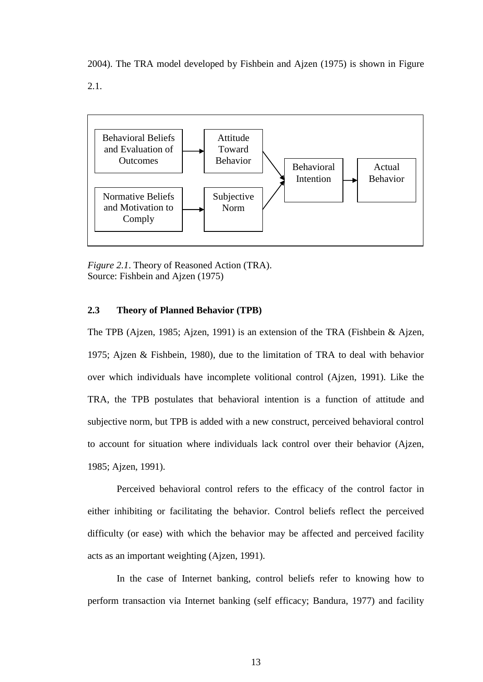2004). The TRA model developed by Fishbein and Ajzen (1975) is shown in Figure 2.1.



*Figure 2.1*. Theory of Reasoned Action (TRA). Source: Fishbein and Ajzen (1975)

# **2.3 Theory of Planned Behavior (TPB)**

The TPB (Ajzen, 1985; Ajzen, 1991) is an extension of the TRA (Fishbein & Ajzen, 1975; Ajzen & Fishbein, 1980), due to the limitation of TRA to deal with behavior over which individuals have incomplete volitional control (Ajzen, 1991). Like the TRA, the TPB postulates that behavioral intention is a function of attitude and subjective norm, but TPB is added with a new construct, perceived behavioral control to account for situation where individuals lack control over their behavior (Ajzen, 1985; Ajzen, 1991).

Perceived behavioral control refers to the efficacy of the control factor in either inhibiting or facilitating the behavior. Control beliefs reflect the perceived difficulty (or ease) with which the behavior may be affected and perceived facility acts as an important weighting (Ajzen, 1991).

In the case of Internet banking, control beliefs refer to knowing how to perform transaction via Internet banking (self efficacy; Bandura, 1977) and facility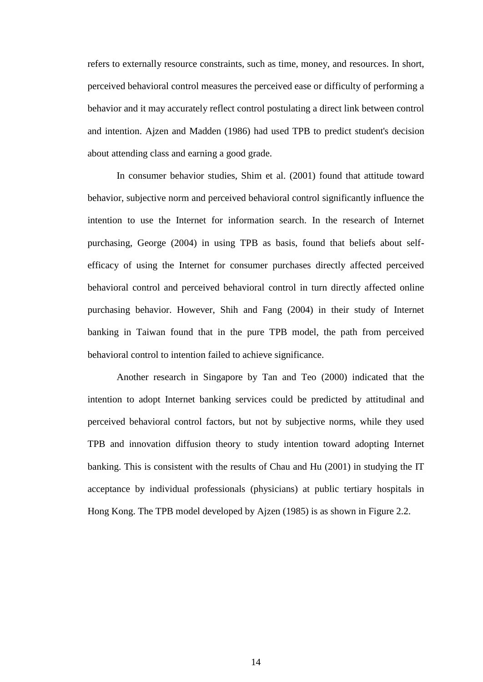refers to externally resource constraints, such as time, money, and resources. In short, perceived behavioral control measures the perceived ease or difficulty of performing a behavior and it may accurately reflect control postulating a direct link between control and intention. Ajzen and Madden (1986) had used TPB to predict student's decision about attending class and earning a good grade.

In consumer behavior studies, Shim et al. (2001) found that attitude toward behavior, subjective norm and perceived behavioral control significantly influence the intention to use the Internet for information search. In the research of Internet purchasing, George (2004) in using TPB as basis, found that beliefs about selfefficacy of using the Internet for consumer purchases directly affected perceived behavioral control and perceived behavioral control in turn directly affected online purchasing behavior. However, Shih and Fang (2004) in their study of Internet banking in Taiwan found that in the pure TPB model, the path from perceived behavioral control to intention failed to achieve significance.

Another research in Singapore by Tan and Teo (2000) indicated that the intention to adopt Internet banking services could be predicted by attitudinal and perceived behavioral control factors, but not by subjective norms, while they used TPB and innovation diffusion theory to study intention toward adopting Internet banking. This is consistent with the results of Chau and Hu (2001) in studying the IT acceptance by individual professionals (physicians) at public tertiary hospitals in Hong Kong. The TPB model developed by Ajzen (1985) is as shown in Figure 2.2.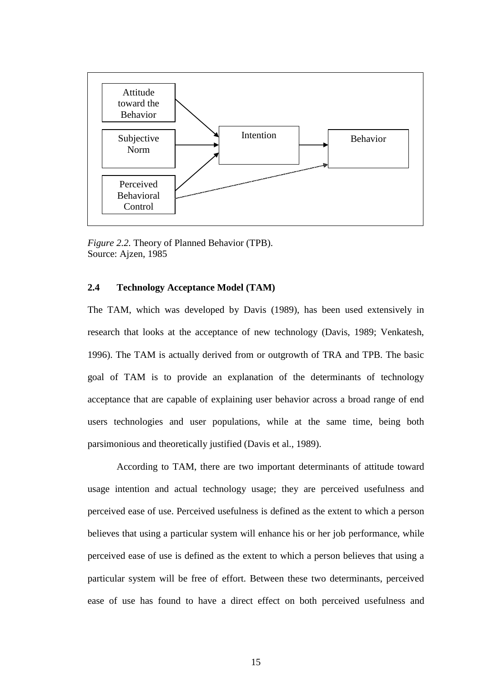

*Figure 2.2.* Theory of Planned Behavior (TPB). Source: Ajzen, 1985

# **2.4 Technology Acceptance Model (TAM)**

The TAM, which was developed by Davis (1989), has been used extensively in research that looks at the acceptance of new technology (Davis, 1989; Venkatesh, 1996). The TAM is actually derived from or outgrowth of TRA and TPB. The basic goal of TAM is to provide an explanation of the determinants of technology acceptance that are capable of explaining user behavior across a broad range of end users technologies and user populations, while at the same time, being both parsimonious and theoretically justified (Davis et al., 1989).

According to TAM, there are two important determinants of attitude toward usage intention and actual technology usage; they are perceived usefulness and perceived ease of use. Perceived usefulness is defined as the extent to which a person believes that using a particular system will enhance his or her job performance, while perceived ease of use is defined as the extent to which a person believes that using a particular system will be free of effort. Between these two determinants, perceived ease of use has found to have a direct effect on both perceived usefulness and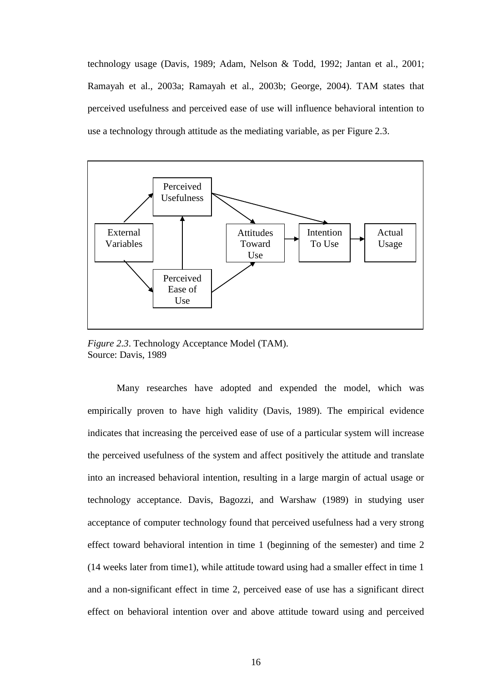technology usage (Davis, 1989; Adam, Nelson & Todd, 1992; Jantan et al., 2001; Ramayah et al., 2003a; Ramayah et al., 2003b; George, 2004). TAM states that perceived usefulness and perceived ease of use will influence behavioral intention to use a technology through attitude as the mediating variable, as per Figure 2.3.



*Figure 2.3*. Technology Acceptance Model (TAM). Source: Davis, 1989

Many researches have adopted and expended the model, which was empirically proven to have high validity (Davis, 1989). The empirical evidence indicates that increasing the perceived ease of use of a particular system will increase the perceived usefulness of the system and affect positively the attitude and translate into an increased behavioral intention, resulting in a large margin of actual usage or technology acceptance. Davis, Bagozzi, and Warshaw (1989) in studying user acceptance of computer technology found that perceived usefulness had a very strong effect toward behavioral intention in time 1 (beginning of the semester) and time 2 (14 weeks later from time1), while attitude toward using had a smaller effect in time 1 and a non-significant effect in time 2, perceived ease of use has a significant direct effect on behavioral intention over and above attitude toward using and perceived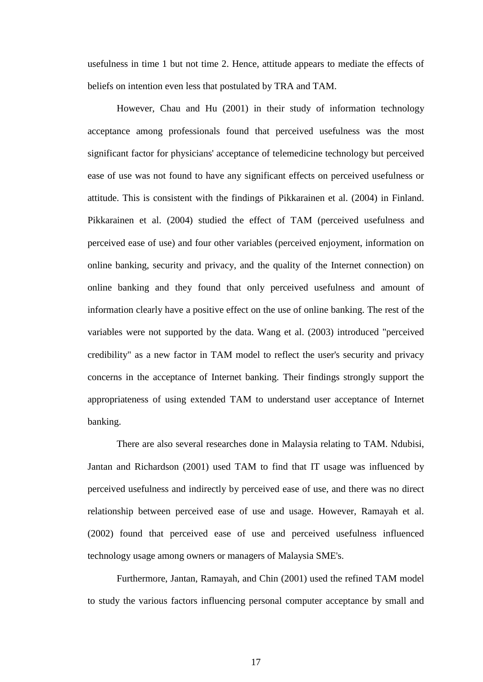usefulness in time 1 but not time 2. Hence, attitude appears to mediate the effects of beliefs on intention even less that postulated by TRA and TAM.

 However, Chau and Hu (2001) in their study of information technology acceptance among professionals found that perceived usefulness was the most significant factor for physicians' acceptance of telemedicine technology but perceived ease of use was not found to have any significant effects on perceived usefulness or attitude. This is consistent with the findings of Pikkarainen et al. (2004) in Finland. Pikkarainen et al. (2004) studied the effect of TAM (perceived usefulness and perceived ease of use) and four other variables (perceived enjoyment, information on online banking, security and privacy, and the quality of the Internet connection) on online banking and they found that only perceived usefulness and amount of information clearly have a positive effect on the use of online banking. The rest of the variables were not supported by the data. Wang et al. (2003) introduced "perceived credibility" as a new factor in TAM model to reflect the user's security and privacy concerns in the acceptance of Internet banking. Their findings strongly support the appropriateness of using extended TAM to understand user acceptance of Internet banking.

There are also several researches done in Malaysia relating to TAM. Ndubisi, Jantan and Richardson (2001) used TAM to find that IT usage was influenced by perceived usefulness and indirectly by perceived ease of use, and there was no direct relationship between perceived ease of use and usage. However, Ramayah et al. (2002) found that perceived ease of use and perceived usefulness influenced technology usage among owners or managers of Malaysia SME's.

Furthermore, Jantan, Ramayah, and Chin (2001) used the refined TAM model to study the various factors influencing personal computer acceptance by small and

17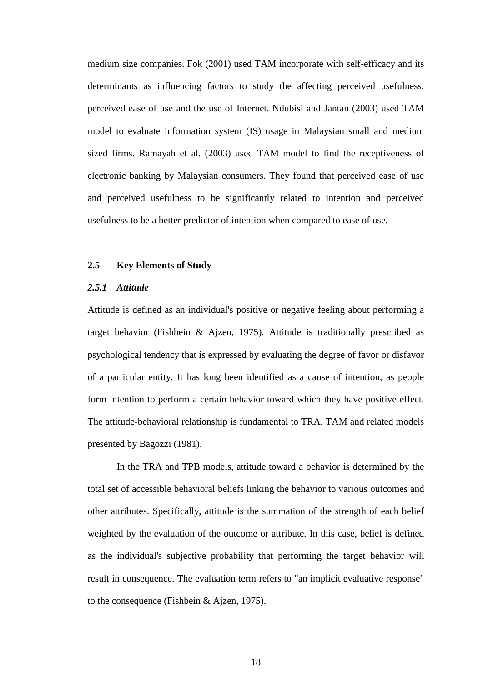medium size companies. Fok (2001) used TAM incorporate with self-efficacy and its determinants as influencing factors to study the affecting perceived usefulness, perceived ease of use and the use of Internet. Ndubisi and Jantan (2003) used TAM model to evaluate information system (IS) usage in Malaysian small and medium sized firms. Ramayah et al. (2003) used TAM model to find the receptiveness of electronic banking by Malaysian consumers. They found that perceived ease of use and perceived usefulness to be significantly related to intention and perceived usefulness to be a better predictor of intention when compared to ease of use.

# **2.5 Key Elements of Study**

# *2.5.1 Attitude*

Attitude is defined as an individual's positive or negative feeling about performing a target behavior (Fishbein & Ajzen, 1975). Attitude is traditionally prescribed as psychological tendency that is expressed by evaluating the degree of favor or disfavor of a particular entity. It has long been identified as a cause of intention, as people form intention to perform a certain behavior toward which they have positive effect. The attitude-behavioral relationship is fundamental to TRA, TAM and related models presented by Bagozzi (1981).

In the TRA and TPB models, attitude toward a behavior is determined by the total set of accessible behavioral beliefs linking the behavior to various outcomes and other attributes. Specifically, attitude is the summation of the strength of each belief weighted by the evaluation of the outcome or attribute. In this case, belief is defined as the individual's subjective probability that performing the target behavior will result in consequence. The evaluation term refers to "an implicit evaluative response" to the consequence (Fishbein & Ajzen, 1975).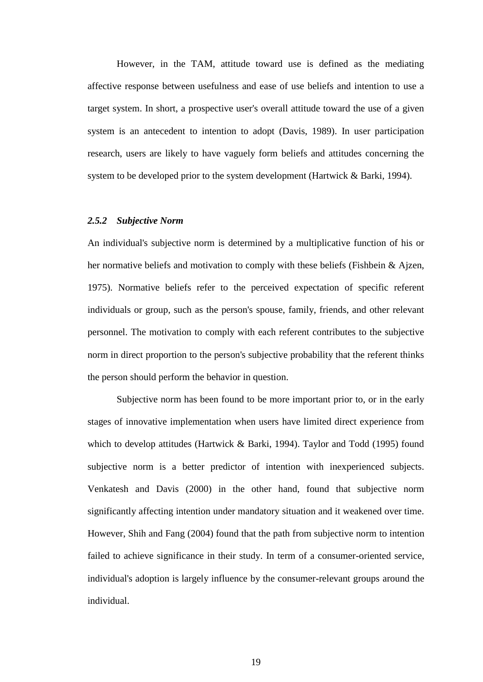However, in the TAM, attitude toward use is defined as the mediating affective response between usefulness and ease of use beliefs and intention to use a target system. In short, a prospective user's overall attitude toward the use of a given system is an antecedent to intention to adopt (Davis, 1989). In user participation research, users are likely to have vaguely form beliefs and attitudes concerning the system to be developed prior to the system development (Hartwick & Barki, 1994).

## *2.5.2 Subjective Norm*

An individual's subjective norm is determined by a multiplicative function of his or her normative beliefs and motivation to comply with these beliefs (Fishbein & Ajzen, 1975). Normative beliefs refer to the perceived expectation of specific referent individuals or group, such as the person's spouse, family, friends, and other relevant personnel. The motivation to comply with each referent contributes to the subjective norm in direct proportion to the person's subjective probability that the referent thinks the person should perform the behavior in question.

Subjective norm has been found to be more important prior to, or in the early stages of innovative implementation when users have limited direct experience from which to develop attitudes (Hartwick & Barki, 1994). Taylor and Todd (1995) found subjective norm is a better predictor of intention with inexperienced subjects. Venkatesh and Davis (2000) in the other hand, found that subjective norm significantly affecting intention under mandatory situation and it weakened over time. However, Shih and Fang (2004) found that the path from subjective norm to intention failed to achieve significance in their study. In term of a consumer-oriented service, individual's adoption is largely influence by the consumer-relevant groups around the individual.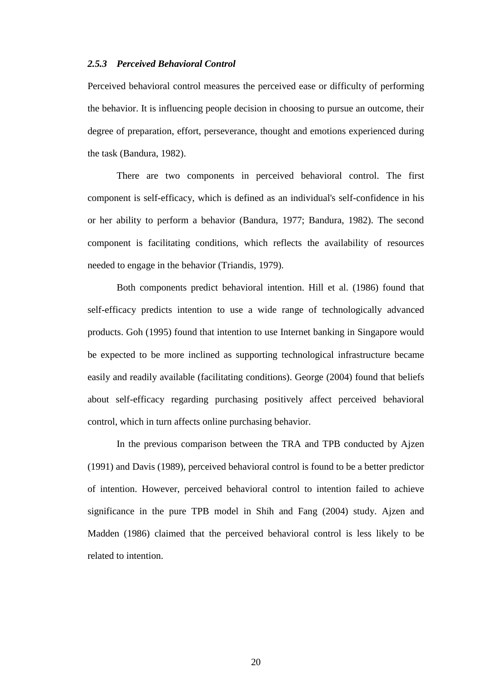#### *2.5.3 Perceived Behavioral Control*

Perceived behavioral control measures the perceived ease or difficulty of performing the behavior. It is influencing people decision in choosing to pursue an outcome, their degree of preparation, effort, perseverance, thought and emotions experienced during the task (Bandura, 1982).

There are two components in perceived behavioral control. The first component is self-efficacy, which is defined as an individual's self-confidence in his or her ability to perform a behavior (Bandura, 1977; Bandura, 1982). The second component is facilitating conditions, which reflects the availability of resources needed to engage in the behavior (Triandis, 1979).

Both components predict behavioral intention. Hill et al. (1986) found that self-efficacy predicts intention to use a wide range of technologically advanced products. Goh (1995) found that intention to use Internet banking in Singapore would be expected to be more inclined as supporting technological infrastructure became easily and readily available (facilitating conditions). George (2004) found that beliefs about self-efficacy regarding purchasing positively affect perceived behavioral control, which in turn affects online purchasing behavior.

In the previous comparison between the TRA and TPB conducted by Ajzen (1991) and Davis (1989), perceived behavioral control is found to be a better predictor of intention. However, perceived behavioral control to intention failed to achieve significance in the pure TPB model in Shih and Fang (2004) study. Ajzen and Madden (1986) claimed that the perceived behavioral control is less likely to be related to intention.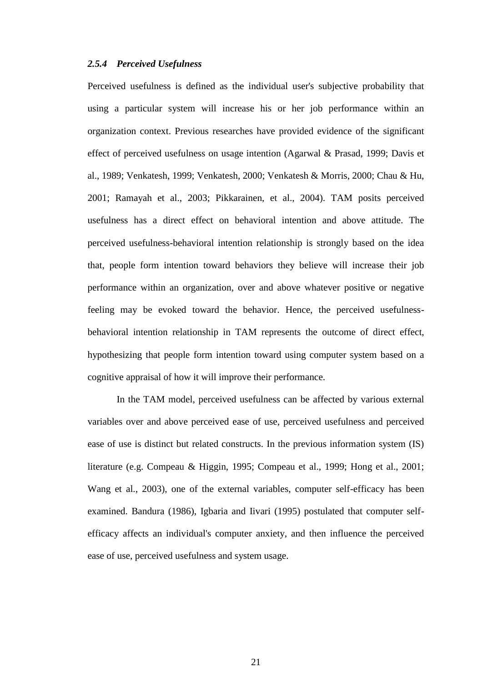# *2.5.4 Perceived Usefulness*

Perceived usefulness is defined as the individual user's subjective probability that using a particular system will increase his or her job performance within an organization context. Previous researches have provided evidence of the significant effect of perceived usefulness on usage intention (Agarwal & Prasad, 1999; Davis et al., 1989; Venkatesh, 1999; Venkatesh, 2000; Venkatesh & Morris, 2000; Chau & Hu, 2001; Ramayah et al., 2003; Pikkarainen, et al., 2004). TAM posits perceived usefulness has a direct effect on behavioral intention and above attitude. The perceived usefulness-behavioral intention relationship is strongly based on the idea that, people form intention toward behaviors they believe will increase their job performance within an organization, over and above whatever positive or negative feeling may be evoked toward the behavior. Hence, the perceived usefulnessbehavioral intention relationship in TAM represents the outcome of direct effect, hypothesizing that people form intention toward using computer system based on a cognitive appraisal of how it will improve their performance.

In the TAM model, perceived usefulness can be affected by various external variables over and above perceived ease of use, perceived usefulness and perceived ease of use is distinct but related constructs. In the previous information system (IS) literature (e.g. Compeau & Higgin, 1995; Compeau et al., 1999; Hong et al., 2001; Wang et al., 2003), one of the external variables, computer self-efficacy has been examined. Bandura (1986), Igbaria and Iivari (1995) postulated that computer selfefficacy affects an individual's computer anxiety, and then influence the perceived ease of use, perceived usefulness and system usage.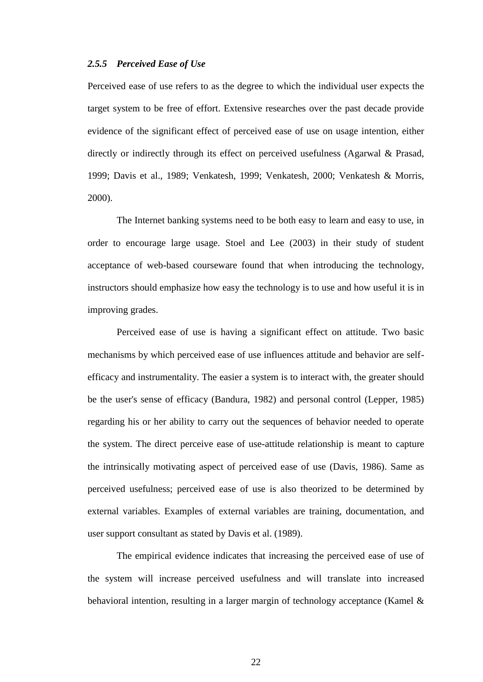## *2.5.5 Perceived Ease of Use*

Perceived ease of use refers to as the degree to which the individual user expects the target system to be free of effort. Extensive researches over the past decade provide evidence of the significant effect of perceived ease of use on usage intention, either directly or indirectly through its effect on perceived usefulness (Agarwal & Prasad, 1999; Davis et al., 1989; Venkatesh, 1999; Venkatesh, 2000; Venkatesh & Morris, 2000).

The Internet banking systems need to be both easy to learn and easy to use, in order to encourage large usage. Stoel and Lee (2003) in their study of student acceptance of web-based courseware found that when introducing the technology, instructors should emphasize how easy the technology is to use and how useful it is in improving grades.

Perceived ease of use is having a significant effect on attitude. Two basic mechanisms by which perceived ease of use influences attitude and behavior are selfefficacy and instrumentality. The easier a system is to interact with, the greater should be the user's sense of efficacy (Bandura, 1982) and personal control (Lepper, 1985) regarding his or her ability to carry out the sequences of behavior needed to operate the system. The direct perceive ease of use-attitude relationship is meant to capture the intrinsically motivating aspect of perceived ease of use (Davis, 1986). Same as perceived usefulness; perceived ease of use is also theorized to be determined by external variables. Examples of external variables are training, documentation, and user support consultant as stated by Davis et al. (1989).

The empirical evidence indicates that increasing the perceived ease of use of the system will increase perceived usefulness and will translate into increased behavioral intention, resulting in a larger margin of technology acceptance (Kamel &

22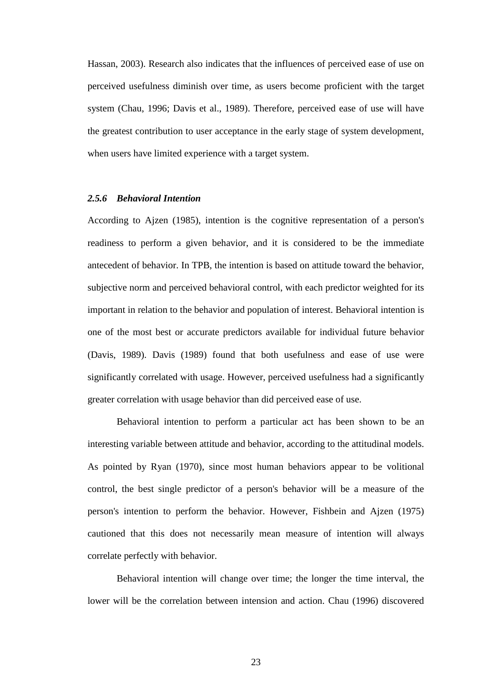Hassan, 2003). Research also indicates that the influences of perceived ease of use on perceived usefulness diminish over time, as users become proficient with the target system (Chau, 1996; Davis et al., 1989). Therefore, perceived ease of use will have the greatest contribution to user acceptance in the early stage of system development, when users have limited experience with a target system.

#### *2.5.6 Behavioral Intention*

According to Ajzen (1985), intention is the cognitive representation of a person's readiness to perform a given behavior, and it is considered to be the immediate antecedent of behavior. In TPB, the intention is based on attitude toward the behavior, subjective norm and perceived behavioral control, with each predictor weighted for its important in relation to the behavior and population of interest. Behavioral intention is one of the most best or accurate predictors available for individual future behavior (Davis, 1989). Davis (1989) found that both usefulness and ease of use were significantly correlated with usage. However, perceived usefulness had a significantly greater correlation with usage behavior than did perceived ease of use.

Behavioral intention to perform a particular act has been shown to be an interesting variable between attitude and behavior, according to the attitudinal models. As pointed by Ryan (1970), since most human behaviors appear to be volitional control, the best single predictor of a person's behavior will be a measure of the person's intention to perform the behavior. However, Fishbein and Ajzen (1975) cautioned that this does not necessarily mean measure of intention will always correlate perfectly with behavior.

Behavioral intention will change over time; the longer the time interval, the lower will be the correlation between intension and action. Chau (1996) discovered